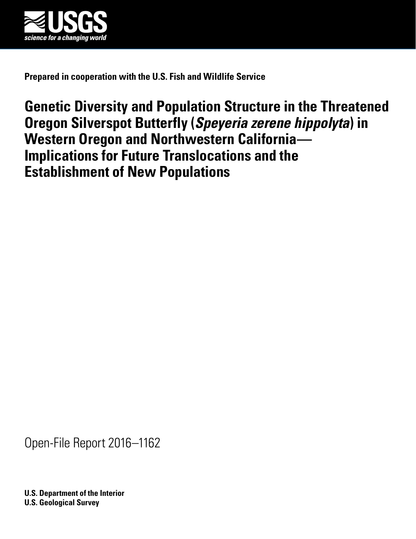

**Prepared in cooperation with the U.S. Fish and Wildlife Service**

# **Genetic Diversity and Population Structure in the Threatened Oregon Silverspot Butterfly (***Speyeria zerene hippolyta***) in Western Oregon and Northwestern California— Implications for Future Translocations and the Establishment of New Populations**

Open-File Report 2016–1162

**U.S. Department of the Interior U.S. Geological Survey**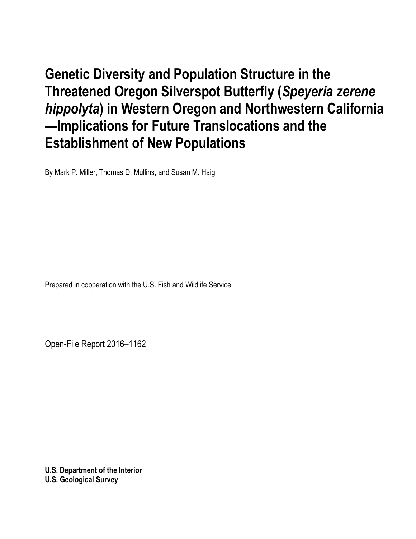**Genetic Diversity and Population Structure in the Threatened Oregon Silverspot Butterfly (***Speyeria zerene hippolyta***) in Western Oregon and Northwestern California —Implications for Future Translocations and the Establishment of New Populations**

By Mark P. Miller, Thomas D. Mullins, and Susan M. Haig

Prepared in cooperation with the U.S. Fish and Wildlife Service

Open-File Report 2016–1162

**U.S. Department of the Interior U.S. Geological Survey**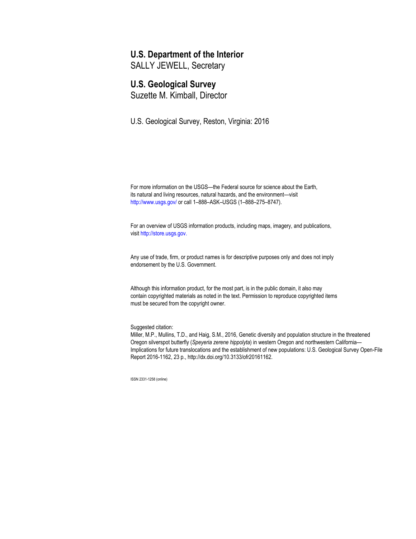#### **U.S. Department of the Interior**

SALLY JEWELL, Secretary

### **U.S. Geological Survey**

Suzette M. Kimball, Director

U.S. Geological Survey, Reston, Virginia: 2016

For more information on the USGS—the Federal source for science about the Earth, its natural and living resources, natural hazards, and the environment—visit <http://www.usgs.gov/> or call 1–888–ASK–USGS (1–888–275–8747).

For an overview of USGS information products, including maps, imagery, and publications, visit [http://store.usgs.gov.](http://www.usgs.gov/pubprod)

Any use of trade, firm, or product names is for descriptive purposes only and does not imply endorsement by the U.S. Government.

Although this information product, for the most part, is in the public domain, it also may contain copyrighted materials as noted in the text. Permission to reproduce copyrighted items must be secured from the copyright owner.

Suggested citation:

Miller, M.P., Mullins, T.D., and Haig, S.M., 2016, Genetic diversity and population structure in the threatened Oregon silverspot butterfly (*Speyeria zerene hippolyta*) in western Oregon and northwestern California— Implications for future translocations and the establishment of new populations: U.S. Geological Survey Open-File Report 2016-1162, 23 p., http://dx.doi.org/10.3133/ofr20161162.

ISSN 2331-1258 (online)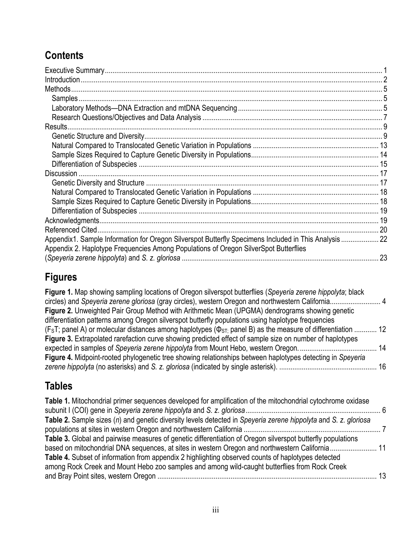# **Contents**

| Results.                                                                                                                                                                                     |    |
|----------------------------------------------------------------------------------------------------------------------------------------------------------------------------------------------|----|
|                                                                                                                                                                                              |    |
|                                                                                                                                                                                              |    |
|                                                                                                                                                                                              |    |
|                                                                                                                                                                                              |    |
| <b>Discussion</b>                                                                                                                                                                            |    |
|                                                                                                                                                                                              |    |
|                                                                                                                                                                                              |    |
|                                                                                                                                                                                              |    |
|                                                                                                                                                                                              |    |
|                                                                                                                                                                                              |    |
|                                                                                                                                                                                              |    |
| Appendix1. Sample Information for Oregon Silverspot Butterfly Specimens Included in This Analysis 22<br>Appendix 2. Haplotype Frequencies Among Populations of Oregon SilverSpot Butterflies |    |
|                                                                                                                                                                                              | 23 |

# **Figures**

**Figure 1.** Map showing sampling locations of Oregon silverspot butterflies (*Speyeria zerene hippolyta*; black circles) and *Speyeria zerene gloriosa* (gray circles), western Oregon and northwestern California........................... 4 **Figure 2.** Unweighted Pair Group Method with Arithmetic Mean (UPGMA) dendrograms showing genetic differentiation patterns among Oregon silverspot butterfly populations using haplotype frequencies (F<sub>S</sub>T; panel A) or molecular distances among haplotypes ( $\Phi$ <sub>ST;</sub> panel B) as the measure of differentiation ............ 12 **Figure 3.** Extrapolated rarefaction curve showing predicted effect of sample size on number of haplotypes expected in samples of *Speyeria zerene hippolyta* from Mount Hebo, western Oregon.......................................... 14 **Figure 4.** Midpoint-rooted phylogenetic tree showing relationships between haplotypes detecting in *Speyeria zerene hippolyta* (no asterisks) and *S. z. gloriosa* (indicated by single asterisk). .................................................... 16

# **Tables**

| Table 1. Mitochondrial primer sequences developed for amplification of the mitochondrial cytochrome oxidase     |    |
|-----------------------------------------------------------------------------------------------------------------|----|
| Table 2. Sample sizes (n) and genetic diversity levels detected in Speyeria zerene hippolyta and S. z. gloriosa |    |
|                                                                                                                 |    |
| Table 3. Global and pairwise measures of genetic differentiation of Oregon silverspot butterfly populations     |    |
| based on mitochondrial DNA sequences, at sites in western Oregon and northwestern California 11                 |    |
| Table 4. Subset of information from appendix 2 highlighting observed counts of haplotypes detected              |    |
| among Rock Creek and Mount Hebo zoo samples and among wild-caught butterflies from Rock Creek                   |    |
|                                                                                                                 | 13 |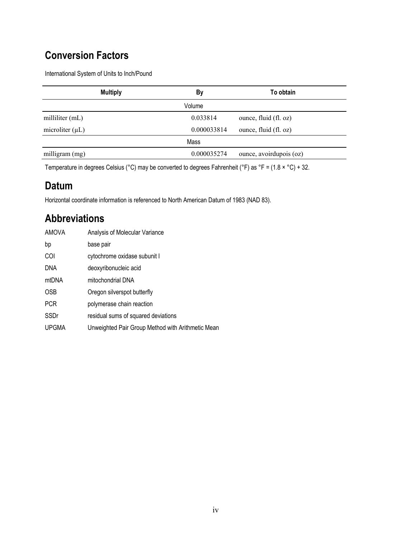# **Conversion Factors**

International System of Units to Inch/Pound

| <b>Multiply</b>      | By          | To obtain               |
|----------------------|-------------|-------------------------|
|                      | Volume      |                         |
| milliliter (mL)      | 0.033814    | ounce, fluid (fl. oz)   |
| microliter $(\mu L)$ | 0.000033814 | ounce, fluid (fl. oz)   |
|                      | Mass        |                         |
| milligram (mg)       | 0.000035274 | ounce, avoirdupois (oz) |

Temperature in degrees Celsius (°C) may be converted to degrees Fahrenheit (°F) as °F = (1.8 × °C) + 32.

## **Datum**

Horizontal coordinate information is referenced to North American Datum of 1983 (NAD 83).

# **Abbreviations**

| AMOVA        | Analysis of Molecular Variance                    |
|--------------|---------------------------------------------------|
| bp           | base pair                                         |
| COI          | cytochrome oxidase subunit I                      |
| <b>DNA</b>   | deoxyribonucleic acid                             |
| mtDNA        | mitochondrial DNA                                 |
| <b>OSB</b>   | Oregon silverspot butterfly                       |
| <b>PCR</b>   | polymerase chain reaction                         |
| SSDr         | residual sums of squared deviations               |
| <b>UPGMA</b> | Unweighted Pair Group Method with Arithmetic Mean |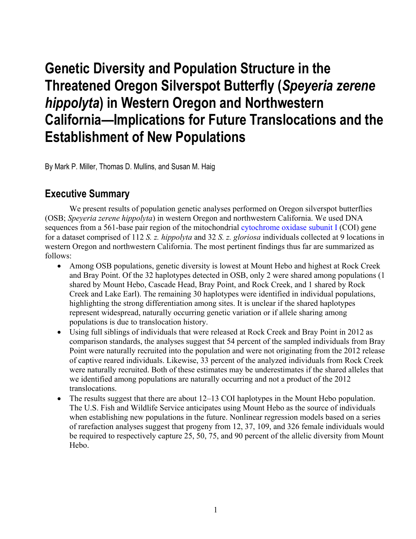# **Genetic Diversity and Population Structure in the Threatened Oregon Silverspot Butterfly (***Speyeria zerene hippolyta***) in Western Oregon and Northwestern California—Implications for Future Translocations and the Establishment of New Populations**

By Mark P. Miller, Thomas D. Mullins, and Susan M. Haig

### **Executive Summary**

We present results of population genetic analyses performed on Oregon silverspot butterflies (OSB; *Speyeria zerene hippolyta*) in western Oregon and northwestern California. We used DNA sequences from a 561-base pair region of the mitochondrial [cytochrome oxidase subunit I](https://en.wikipedia.org/wiki/Cytochrome_c_oxidase_subunit_I) (COI) gene for a dataset comprised of 112 *S. z. hippolyta* and 32 *S. z. gloriosa* individuals collected at 9 locations in western Oregon and northwestern California. The most pertinent findings thus far are summarized as follows:

- Among OSB populations, genetic diversity is lowest at Mount Hebo and highest at Rock Creek and Bray Point. Of the 32 haplotypes detected in OSB, only 2 were shared among populations (1 shared by Mount Hebo, Cascade Head, Bray Point, and Rock Creek, and 1 shared by Rock Creek and Lake Earl). The remaining 30 haplotypes were identified in individual populations, highlighting the strong differentiation among sites. It is unclear if the shared haplotypes represent widespread, naturally occurring genetic variation or if allele sharing among populations is due to translocation history.
- Using full siblings of individuals that were released at Rock Creek and Bray Point in 2012 as comparison standards, the analyses suggest that 54 percent of the sampled individuals from Bray Point were naturally recruited into the population and were not originating from the 2012 release of captive reared individuals. Likewise, 33 percent of the analyzed individuals from Rock Creek were naturally recruited. Both of these estimates may be underestimates if the shared alleles that we identified among populations are naturally occurring and not a product of the 2012 translocations.
- The results suggest that there are about 12–13 COI haplotypes in the Mount Hebo population. The U.S. Fish and Wildlife Service anticipates using Mount Hebo as the source of individuals when establishing new populations in the future. Nonlinear regression models based on a series of rarefaction analyses suggest that progeny from 12, 37, 109, and 326 female individuals would be required to respectively capture 25, 50, 75, and 90 percent of the allelic diversity from Mount Hebo.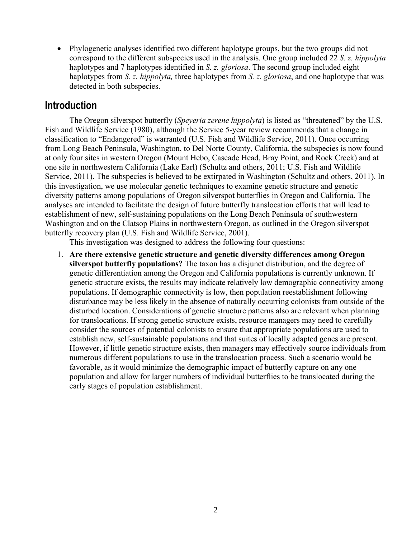• Phylogenetic analyses identified two different haplotype groups, but the two groups did not correspond to the different subspecies used in the analysis. One group included 22 *S. z. hippolyta* haplotypes and 7 haplotypes identified in *S. z. gloriosa*. The second group included eight haplotypes from *S. z. hippolyta,* three haplotypes from *S. z. gloriosa*, and one haplotype that was detected in both subspecies.

### **Introduction**

The Oregon silverspot butterfly (*Speyeria zerene hippolyta*) is listed as "threatened" by the U.S. Fish and Wildlife Service (1980), although the Service 5-year review recommends that a change in classification to "Endangered" is warranted (U.S. Fish and Wildlife Service, 2011). Once occurring from Long Beach Peninsula, Washington, to Del Norte County, California, the subspecies is now found at only four sites in western Oregon (Mount Hebo, Cascade Head, Bray Point, and Rock Creek) and at one site in northwestern California (Lake Earl) (Schultz and others, 2011; U.S. Fish and Wildlife Service, 2011). The subspecies is believed to be extirpated in Washington (Schultz and others, 2011). In this investigation, we use molecular genetic techniques to examine genetic structure and genetic diversity patterns among populations of Oregon silverspot butterflies in Oregon and California. The analyses are intended to facilitate the design of future butterfly translocation efforts that will lead to establishment of new, self-sustaining populations on the Long Beach Peninsula of southwestern Washington and on the Clatsop Plains in northwestern Oregon, as outlined in the Oregon silverspot butterfly recovery plan (U.S. Fish and Wildlife Service, 2001).

This investigation was designed to address the following four questions:

1. **Are there extensive genetic structure and genetic diversity differences among Oregon silverspot butterfly populations?** The taxon has a disjunct distribution, and the degree of genetic differentiation among the Oregon and California populations is currently unknown. If genetic structure exists, the results may indicate relatively low demographic connectivity among populations. If demographic connectivity is low, then population reestablishment following disturbance may be less likely in the absence of naturally occurring colonists from outside of the disturbed location. Considerations of genetic structure patterns also are relevant when planning for translocations. If strong genetic structure exists, resource managers may need to carefully consider the sources of potential colonists to ensure that appropriate populations are used to establish new, self-sustainable populations and that suites of locally adapted genes are present. However, if little genetic structure exists, then managers may effectively source individuals from numerous different populations to use in the translocation process. Such a scenario would be favorable, as it would minimize the demographic impact of butterfly capture on any one population and allow for larger numbers of individual butterflies to be translocated during the early stages of population establishment.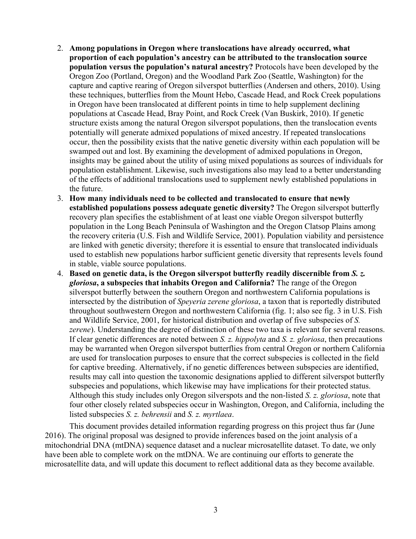- 2. **Among populations in Oregon where translocations have already occurred, what proportion of each population's ancestry can be attributed to the translocation source population versus the population's natural ancestry?** Protocols have been developed by the Oregon Zoo (Portland, Oregon) and the Woodland Park Zoo (Seattle, Washington) for the capture and captive rearing of Oregon silverspot butterflies (Andersen and others, 2010). Using these techniques, butterflies from the Mount Hebo, Cascade Head, and Rock Creek populations in Oregon have been translocated at different points in time to help supplement declining populations at Cascade Head, Bray Point, and Rock Creek (Van Buskirk, 2010). If genetic structure exists among the natural Oregon silverspot populations, then the translocation events potentially will generate admixed populations of mixed ancestry. If repeated translocations occur, then the possibility exists that the native genetic diversity within each population will be swamped out and lost. By examining the development of admixed populations in Oregon, insights may be gained about the utility of using mixed populations as sources of individuals for population establishment. Likewise, such investigations also may lead to a better understanding of the effects of additional translocations used to supplement newly established populations in the future.
- 3. **How many individuals need to be collected and translocated to ensure that newly established populations possess adequate genetic diversity?** The Oregon silverspot butterfly recovery plan specifies the establishment of at least one viable Oregon silverspot butterfly population in the Long Beach Peninsula of Washington and the Oregon Clatsop Plains among the recovery criteria (U.S. Fish and Wildlife Service, 2001). Population viability and persistence are linked with genetic diversity; therefore it is essential to ensure that translocated individuals used to establish new populations harbor sufficient genetic diversity that represents levels found in stable, viable source populations.
- 4. **Based on genetic data, is the Oregon silverspot butterfly readily discernible from** *S. z. gloriosa***, a subspecies that inhabits Oregon and California?** The range of the Oregon silverspot butterfly between the southern Oregon and northwestern California populations is intersected by the distribution of *Speyeria zerene gloriosa*, a taxon that is reportedly distributed throughout southwestern Oregon and northwestern California (fig. 1; also see fig. 3 in U.S. Fish and Wildlife Service, 2001, for historical distribution and overlap of five subspecies of *S. zerene*). Understanding the degree of distinction of these two taxa is relevant for several reasons. If clear genetic differences are noted between *S. z. hippolyta* and *S. z. gloriosa*, then precautions may be warranted when Oregon silverspot butterflies from central Oregon or northern California are used for translocation purposes to ensure that the correct subspecies is collected in the field for captive breeding. Alternatively, if no genetic differences between subspecies are identified, results may call into question the taxonomic designations applied to different silverspot butterfly subspecies and populations, which likewise may have implications for their protected status. Although this study includes only Oregon silverspots and the non-listed *S. z. gloriosa*, note that four other closely related subspecies occur in Washington, Oregon, and California, including the listed subspecies *S. z. behrensii* and *S. z. myrtlaea*.

This document provides detailed information regarding progress on this project thus far (June 2016). The original proposal was designed to provide inferences based on the joint analysis of a mitochondrial DNA (mtDNA) sequence dataset and a nuclear microsatellite dataset. To date, we only have been able to complete work on the mtDNA. We are continuing our efforts to generate the microsatellite data, and will update this document to reflect additional data as they become available.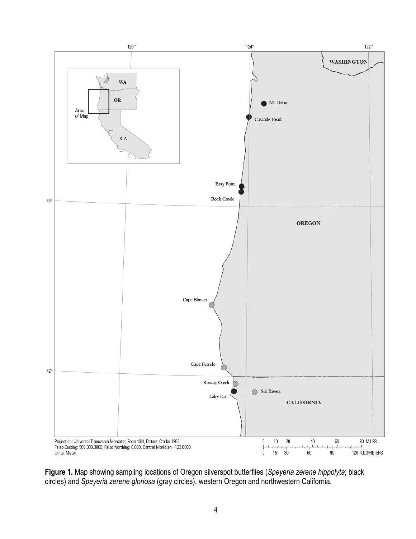

**Figure 1.** Map showing sampling locations of Oregon silverspot butterflies (*Speyeria zerene hippolyta*; black circles) and *Speyeria zerene gloriosa* (gray circles), western Oregon and northwestern California.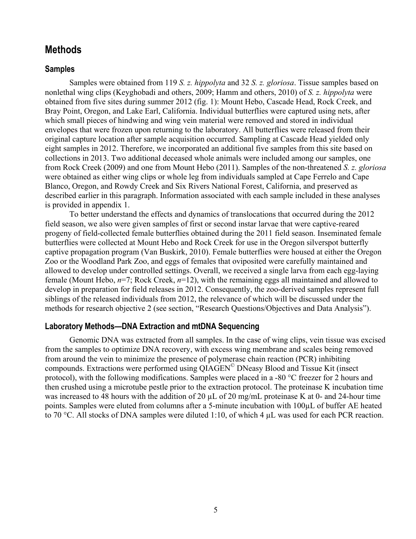### **Methods**

#### **Samples**

Samples were obtained from 119 *S. z. hippolyta* and 32 *S. z. gloriosa*. Tissue samples based on nonlethal wing clips (Keyghobadi and others, 2009; Hamm and others, 2010) of *S. z. hippolyta* were obtained from five sites during summer 2012 (fig. 1): Mount Hebo, Cascade Head, Rock Creek, and Bray Point, Oregon, and Lake Earl, California. Individual butterflies were captured using nets, after which small pieces of hindwing and wing vein material were removed and stored in individual envelopes that were frozen upon returning to the laboratory. All butterflies were released from their original capture location after sample acquisition occurred. Sampling at Cascade Head yielded only eight samples in 2012. Therefore, we incorporated an additional five samples from this site based on collections in 2013. Two additional deceased whole animals were included among our samples, one from Rock Creek (2009) and one from Mount Hebo (2011). Samples of the non-threatened *S. z. gloriosa* were obtained as either wing clips or whole leg from individuals sampled at Cape Ferrelo and Cape Blanco, Oregon, and Rowdy Creek and Six Rivers National Forest, California, and preserved as described earlier in this paragraph. Information associated with each sample included in these analyses is provided in appendix 1.

To better understand the effects and dynamics of translocations that occurred during the 2012 field season, we also were given samples of first or second instar larvae that were captive-reared progeny of field-collected female butterflies obtained during the 2011 field season. Inseminated female butterflies were collected at Mount Hebo and Rock Creek for use in the Oregon silverspot butterfly captive propagation program (Van Buskirk, 2010). Female butterflies were housed at either the Oregon Zoo or the Woodland Park Zoo, and eggs of females that oviposited were carefully maintained and allowed to develop under controlled settings. Overall, we received a single larva from each egg-laying female (Mount Hebo, *n*=7; Rock Creek, *n*=12), with the remaining eggs all maintained and allowed to develop in preparation for field releases in 2012. Consequently, the zoo-derived samples represent full siblings of the released individuals from 2012, the relevance of which will be discussed under the methods for research objective 2 (see section, "Research Questions/Objectives and Data Analysis").

#### **Laboratory Methods—DNA Extraction and mtDNA Sequencing**

Genomic DNA was extracted from all samples. In the case of wing clips, vein tissue was excised from the samples to optimize DNA recovery, with excess wing membrane and scales being removed from around the vein to minimize the presence of polymerase chain reaction (PCR) inhibiting compounds. Extractions were performed using QIAGEN© DNeasy Blood and Tissue Kit (insect protocol), with the following modifications. Samples were placed in a -80 °C freezer for 2 hours and then crushed using a microtube pestle prior to the extraction protocol. The proteinase K incubation time was increased to 48 hours with the addition of 20  $\mu$ L of 20 mg/mL proteinase K at 0- and 24-hour time points. Samples were eluted from columns after a 5-minute incubation with 100µL of buffer AE heated to 70 °C. All stocks of DNA samples were diluted 1:10, of which 4 µL was used for each PCR reaction.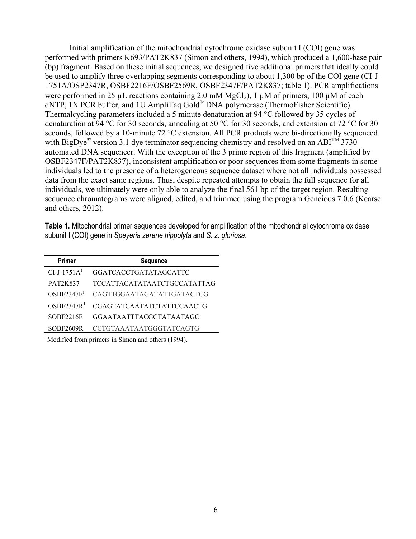Initial amplification of the mitochondrial cytochrome oxidase subunit I (COI) gene was performed with primers K693/PAT2K837 (Simon and others, 1994), which produced a 1,600-base pair (bp) fragment. Based on these initial sequences, we designed five additional primers that ideally could be used to amplify three overlapping segments corresponding to about 1,300 bp of the COI gene (CI-J-1751A/OSP2347R, OSBF2216F/OSBF2569R, OSBF2347F/PAT2K837; table 1). PCR amplifications were performed in 25  $\mu$ L reactions containing 2.0 mM MgCl<sub>2</sub>), 1  $\mu$ M of primers, 100  $\mu$ M of each dNTP, 1X PCR buffer, and 1U AmpliTaq Gold® DNA polymerase (ThermoFisher Scientific). Thermalcycling parameters included a 5 minute denaturation at 94 °C followed by 35 cycles of denaturation at 94 °C for 30 seconds, annealing at 50 °C for 30 seconds, and extension at 72 °C for 30 seconds, followed by a 10-minute 72 °C extension. All PCR products were bi-directionally sequenced with BigDye<sup>®</sup> version 3.1 dye terminator sequencing chemistry and resolved on an ABI<sup>TM</sup> 3730 automated DNA sequencer. With the exception of the 3 prime region of this fragment (amplified by OSBF2347F/PAT2K837), inconsistent amplification or poor sequences from some fragments in some individuals led to the presence of a heterogeneous sequence dataset where not all individuals possessed data from the exact same regions. Thus, despite repeated attempts to obtain the full sequence for all individuals, we ultimately were only able to analyze the final 561 bp of the target region. Resulting sequence chromatograms were aligned, edited, and trimmed using the program Geneious 7.0.6 (Kearse and others, 2012).

**Table 1.** Mitochondrial primer sequences developed for amplification of the mitochondrial cytochrome oxidase subunit I (COI) gene in *Speyeria zerene hippolyta* and *S. z. gloriosa*.

| <b>Primer</b>          | <b>Sequence</b>                    |
|------------------------|------------------------------------|
| $CI-J-1751A1$          | <b>GGATCACCTGATATAGCATTC</b>       |
| <b>PAT2K837</b>        | <b>TCCATTACATATAATCTGCCATATTAG</b> |
| OSBF2347F <sup>1</sup> | CAGTTGGAATAGATATTGATACTCG          |
| OSBF2347R <sup>1</sup> | CGAGTATCAATATCTATTCCAACTG          |
| SOBF2216F              | GGAATAATTTACGCTATAATAGC            |
| SOBF2609R              | CCTGTAAATAATGGGTATCAGTG            |

<sup>1</sup>Modified from primers in Simon and others (1994).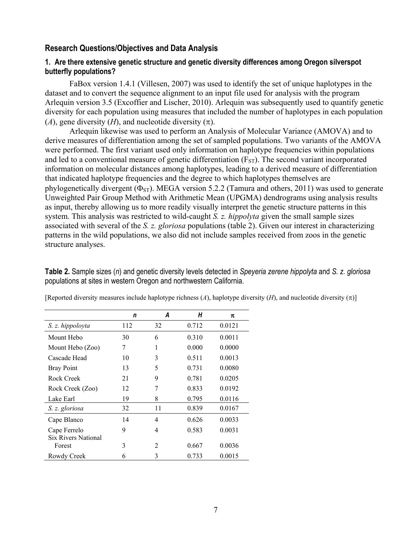#### **Research Questions/Objectives and Data Analysis**

#### **1. Are there extensive genetic structure and genetic diversity differences among Oregon silverspot butterfly populations?**

FaBox version 1.4.1 (Villesen, 2007) was used to identify the set of unique haplotypes in the dataset and to convert the sequence alignment to an input file used for analysis with the program Arlequin version 3.5 (Excoffier and Lischer, 2010). Arlequin was subsequently used to quantify genetic diversity for each population using measures that included the number of haplotypes in each population (*A*), gene diversity (*H*), and nucleotide diversity ( $\pi$ ).

Arlequin likewise was used to perform an Analysis of Molecular Variance (AMOVA) and to derive measures of differentiation among the set of sampled populations. Two variants of the AMOVA were performed. The first variant used only information on haplotype frequencies within populations and led to a conventional measure of genetic differentiation  $(F_{ST})$ . The second variant incorporated information on molecular distances among haplotypes, leading to a derived measure of differentiation that indicated haplotype frequencies and the degree to which haplotypes themselves are phylogenetically divergent ( $\Phi_{ST}$ ). MEGA version 5.2.2 (Tamura and others, 2011) was used to generate Unweighted Pair Group Method with Arithmetic Mean (UPGMA) dendrograms using analysis results as input, thereby allowing us to more readily visually interpret the genetic structure patterns in this system. This analysis was restricted to wild-caught *S. z. hippolyta* given the small sample sizes associated with several of the *S. z. gloriosa* populations (table 2). Given our interest in characterizing patterns in the wild populations, we also did not include samples received from zoos in the genetic structure analyses.

**Table 2.** Sample sizes (*n*) and genetic diversity levels detected in *Speyeria zerene hippolyta* and *S. z. gloriosa* populations at sites in western Oregon and northwestern California.

|                            | n   | А  | Н     | π      |  |  |
|----------------------------|-----|----|-------|--------|--|--|
| S. z. hippoloyta           | 112 | 32 | 0.712 | 0.0121 |  |  |
| Mount Hebo                 | 30  | 6  | 0.310 | 0.0011 |  |  |
| Mount Hebo (Zoo)           | 7   | 1  | 0.000 | 0.0000 |  |  |
| Cascade Head               | 10  | 3  | 0.511 | 0.0013 |  |  |
| <b>Bray Point</b>          | 13  | 5  | 0.731 | 0.0080 |  |  |
| Rock Creek                 | 21  | 9  | 0.781 | 0.0205 |  |  |
| Rock Creek (Zoo)           | 12  | 7  | 0.833 | 0.0192 |  |  |
| Lake Earl                  | 19  | 8  | 0.795 | 0.0116 |  |  |
| S. z. gloriosa             | 32  | 11 | 0.839 | 0.0167 |  |  |
| Cape Blanco                | 14  | 4  | 0.626 | 0.0033 |  |  |
| Cape Ferrelo               | 9   | 4  | 0.583 | 0.0031 |  |  |
| <b>Six Rivers National</b> |     |    |       |        |  |  |
| Forest                     | 3   | 2  | 0.667 | 0.0036 |  |  |
| Rowdy Creek                | 6   | 3  | 0.733 | 0.0015 |  |  |

[Reported diversity measures include haplotype richness  $(A)$ , haplotype diversity  $(H)$ , and nucleotide diversity  $(\pi)$ ]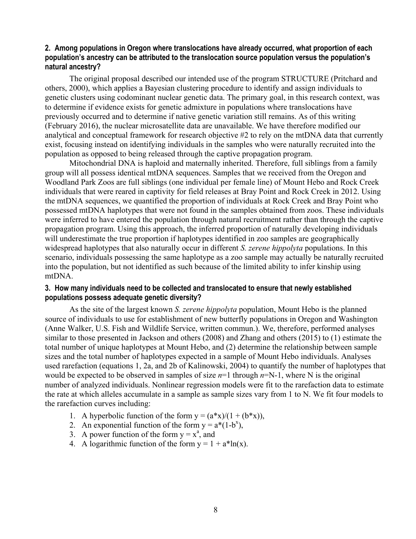#### **2. Among populations in Oregon where translocations have already occurred, what proportion of each population's ancestry can be attributed to the translocation source population versus the population's natural ancestry?**

The original proposal described our intended use of the program STRUCTURE (Pritchard and others, 2000), which applies a Bayesian clustering procedure to identify and assign individuals to genetic clusters using codominant nuclear genetic data. The primary goal, in this research context, was to determine if evidence exists for genetic admixture in populations where translocations have previously occurred and to determine if native genetic variation still remains. As of this writing (February 2016), the nuclear microsatellite data are unavailable. We have therefore modified our analytical and conceptual framework for research objective #2 to rely on the mtDNA data that currently exist, focusing instead on identifying individuals in the samples who were naturally recruited into the population as opposed to being released through the captive propagation program.

Mitochondrial DNA is haploid and maternally inherited. Therefore, full siblings from a family group will all possess identical mtDNA sequences. Samples that we received from the Oregon and Woodland Park Zoos are full siblings (one individual per female line) of Mount Hebo and Rock Creek individuals that were reared in captivity for field releases at Bray Point and Rock Creek in 2012. Using the mtDNA sequences, we quantified the proportion of individuals at Rock Creek and Bray Point who possessed mtDNA haplotypes that were not found in the samples obtained from zoos. These individuals were inferred to have entered the population through natural recruitment rather than through the captive propagation program. Using this approach, the inferred proportion of naturally developing individuals will underestimate the true proportion if haplotypes identified in zoo samples are geographically widespread haplotypes that also naturally occur in different *S. zerene hippolyta* populations. In this scenario, individuals possessing the same haplotype as a zoo sample may actually be naturally recruited into the population, but not identified as such because of the limited ability to infer kinship using mtDNA.

#### **3. How many individuals need to be collected and translocated to ensure that newly established populations possess adequate genetic diversity?**

As the site of the largest known *S. zerene hippolyta* population, Mount Hebo is the planned source of individuals to use for establishment of new butterfly populations in Oregon and Washington (Anne Walker, U.S. Fish and Wildlife Service, written commun.). We, therefore, performed analyses similar to those presented in Jackson and others (2008) and Zhang and others (2015) to (1) estimate the total number of unique haplotypes at Mount Hebo, and (2) determine the relationship between sample sizes and the total number of haplotypes expected in a sample of Mount Hebo individuals. Analyses used rarefaction (equations 1, 2a, and 2b of Kalinowski, 2004) to quantify the number of haplotypes that would be expected to be observed in samples of size *n*=1 through *n*=N-1, where N is the original number of analyzed individuals. Nonlinear regression models were fit to the rarefaction data to estimate the rate at which alleles accumulate in a sample as sample sizes vary from 1 to N. We fit four models to the rarefaction curves including:

- 1. A hyperbolic function of the form  $y = (a*x)/(1 + (b*x))$ ,
- 2. An exponential function of the form  $y = a^*(1-b^x)$ ,
- 3. A power function of the form  $y = x^a$ , and
- 4. A logarithmic function of the form  $y = 1 + a^* \ln(x)$ .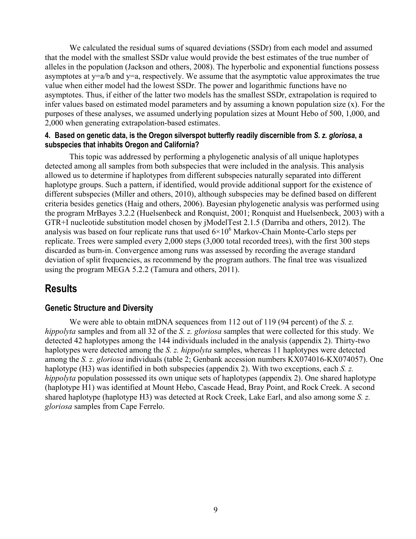We calculated the residual sums of squared deviations (SSDr) from each model and assumed that the model with the smallest SSDr value would provide the best estimates of the true number of alleles in the population (Jackson and others, 2008). The hyperbolic and exponential functions possess asymptotes at  $y=a/b$  and  $y=a$ , respectively. We assume that the asymptotic value approximates the true value when either model had the lowest SSDr. The power and logarithmic functions have no asymptotes. Thus, if either of the latter two models has the smallest SSDr, extrapolation is required to infer values based on estimated model parameters and by assuming a known population size (x). For the purposes of these analyses, we assumed underlying population sizes at Mount Hebo of 500, 1,000, and 2,000 when generating extrapolation-based estimates.

#### **4. Based on genetic data, is the Oregon silverspot butterfly readily discernible from** *S. z. gloriosa***, a subspecies that inhabits Oregon and California?**

This topic was addressed by performing a phylogenetic analysis of all unique haplotypes detected among all samples from both subspecies that were included in the analysis. This analysis allowed us to determine if haplotypes from different subspecies naturally separated into different haplotype groups. Such a pattern, if identified, would provide additional support for the existence of different subspecies (Miller and others, 2010), although subspecies may be defined based on different criteria besides genetics (Haig and others, 2006). Bayesian phylogenetic analysis was performed using the program MrBayes 3.2.2 (Huelsenbeck and Ronquist, 2001; Ronquist and Huelsenbeck, 2003) with a GTR+I nucleotide substitution model chosen by jModelTest 2.1.5 (Darriba and others, 2012). The analysis was based on four replicate runs that used  $6\times10^6$  Markov-Chain Monte-Carlo steps per replicate. Trees were sampled every 2,000 steps (3,000 total recorded trees), with the first 300 steps discarded as burn-in. Convergence among runs was assessed by recording the average standard deviation of split frequencies, as recommend by the program authors. The final tree was visualized using the program MEGA 5.2.2 (Tamura and others, 2011).

### **Results**

#### **Genetic Structure and Diversity**

We were able to obtain mtDNA sequences from 112 out of 119 (94 percent) of the *S. z. hippolyta* samples and from all 32 of the *S. z. gloriosa* samples that were collected for this study. We detected 42 haplotypes among the 144 individuals included in the analysis (appendix 2). Thirty-two haplotypes were detected among the *S. z. hippolyta* samples, whereas 11 haplotypes were detected among the *S. z. gloriosa* individuals (table 2; Genbank accession numbers KX074016-KX074057). One haplotype (H3) was identified in both subspecies (appendix 2). With two exceptions, each *S. z. hippolyta* population possessed its own unique sets of haplotypes (appendix 2). One shared haplotype (haplotype H1) was identified at Mount Hebo, Cascade Head, Bray Point, and Rock Creek. A second shared haplotype (haplotype H3) was detected at Rock Creek, Lake Earl, and also among some *S. z. gloriosa* samples from Cape Ferrelo.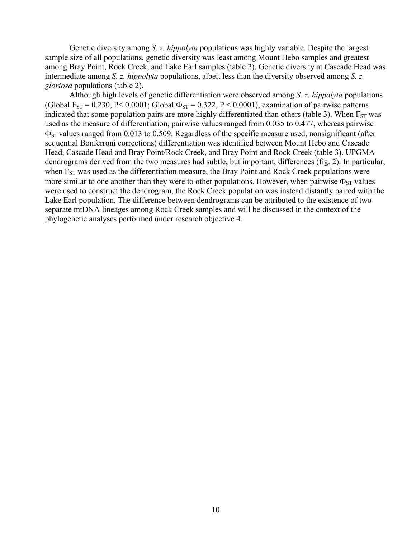Genetic diversity among *S. z. hippolyta* populations was highly variable. Despite the largest sample size of all populations, genetic diversity was least among Mount Hebo samples and greatest among Bray Point, Rock Creek, and Lake Earl samples (table 2). Genetic diversity at Cascade Head was intermediate among *S. z. hippolyta* populations, albeit less than the diversity observed among *S. z. gloriosa* populations (table 2).

Although high levels of genetic differentiation were observed among *S. z. hippolyta* populations (Global F<sub>ST</sub> = 0.230, P< 0.0001; Global  $\Phi_{ST}$  = 0.322, P < 0.0001), examination of pairwise patterns indicated that some population pairs are more highly differentiated than others (table 3). When  $F_{ST}$  was used as the measure of differentiation, pairwise values ranged from 0.035 to 0.477, whereas pairwise  $\Phi_{ST}$  values ranged from 0.013 to 0.509. Regardless of the specific measure used, nonsignificant (after sequential Bonferroni corrections) differentiation was identified between Mount Hebo and Cascade Head, Cascade Head and Bray Point/Rock Creek, and Bray Point and Rock Creek (table 3). UPGMA dendrograms derived from the two measures had subtle, but important, differences (fig. 2). In particular, when  $F_{ST}$  was used as the differentiation measure, the Bray Point and Rock Creek populations were more similar to one another than they were to other populations. However, when pairwise  $\Phi_{ST}$  values were used to construct the dendrogram, the Rock Creek population was instead distantly paired with the Lake Earl population. The difference between dendrograms can be attributed to the existence of two separate mtDNA lineages among Rock Creek samples and will be discussed in the context of the phylogenetic analyses performed under research objective 4.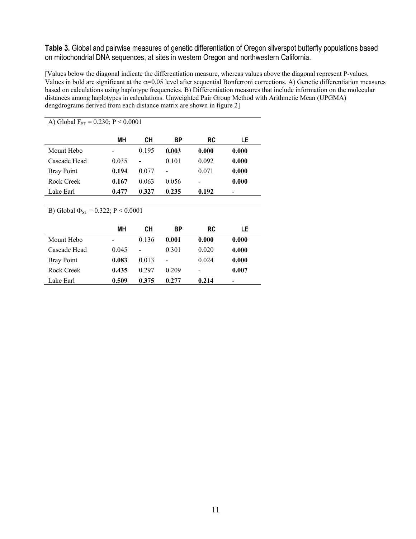**Table 3.** Global and pairwise measures of genetic differentiation of Oregon silverspot butterfly populations based on mitochondrial DNA sequences, at sites in western Oregon and northwestern California.

[Values below the diagonal indicate the differentiation measure, whereas values above the diagonal represent P-values. Values in bold are significant at the  $\alpha$ =0.05 level after sequential Bonferroni corrections. A) Genetic differentiation measures based on calculations using haplotype frequencies. B) Differentiation measures that include information on the molecular distances among haplotypes in calculations. Unweighted Pair Group Method with Arithmetic Mean (UPGMA) dengdrograms derived from each distance matrix are shown in figure 2]

| MН    | CН    | ВP    | RC    | LE    |
|-------|-------|-------|-------|-------|
|       | 0.195 | 0.003 | 0.000 | 0.000 |
| 0.035 |       | 0.101 | 0.092 | 0.000 |
| 0.194 | 0.077 | -     | 0.071 | 0.000 |
| 0.167 | 0.063 | 0.056 |       | 0.000 |
| 0.477 | 0.327 | 0.235 | 0.192 |       |
|       |       |       |       |       |

A) Global  $F_{ST} = 0.230$ ; P < 0.0001

B) Global  $\Phi_{ST} = 0.322$ ; P < 0.0001

|                   | MН    | CН    | ВP                       | RC    | LE    |
|-------------------|-------|-------|--------------------------|-------|-------|
| Mount Hebo        |       | 0.136 | 0.001                    | 0.000 | 0.000 |
| Cascade Head      | 0.045 |       | 0.301                    | 0.020 | 0.000 |
| <b>Bray Point</b> | 0.083 | 0.013 | $\overline{\phantom{0}}$ | 0.024 | 0.000 |
| Rock Creek        | 0.435 | 0.297 | 0.209                    |       | 0.007 |
| Lake Earl         | 0.509 | 0.375 | 0.277                    | 0.214 |       |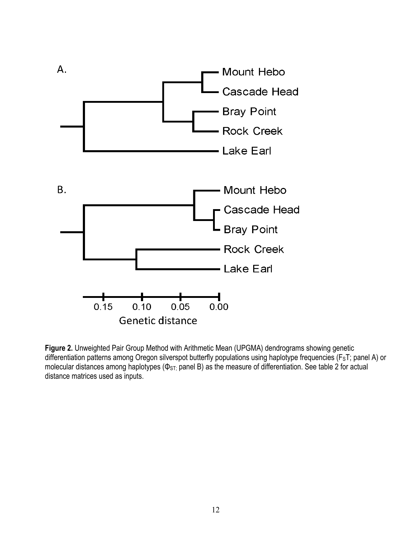

**Figure 2.** Unweighted Pair Group Method with Arithmetic Mean (UPGMA) dendrograms showing genetic differentiation patterns among Oregon silverspot butterfly populations using haplotype frequencies (F<sub>S</sub>T; panel A) or molecular distances among haplotypes ( $\Phi$ <sub>ST;</sub> panel B) as the measure of differentiation. See table 2 for actual distance matrices used as inputs.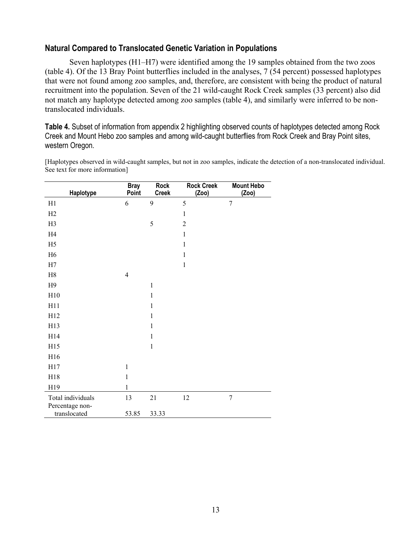#### **Natural Compared to Translocated Genetic Variation in Populations**

Seven haplotypes (H1–H7) were identified among the 19 samples obtained from the two zoos (table 4). Of the 13 Bray Point butterflies included in the analyses, 7 (54 percent) possessed haplotypes that were not found among zoo samples, and, therefore, are consistent with being the product of natural recruitment into the population. Seven of the 21 wild-caught Rock Creek samples (33 percent) also did not match any haplotype detected among zoo samples (table 4), and similarly were inferred to be nontranslocated individuals.

**Table 4.** Subset of information from appendix 2 highlighting observed counts of haplotypes detected among Rock Creek and Mount Hebo zoo samples and among wild-caught butterflies from Rock Creek and Bray Point sites, western Oregon.

[Haplotypes observed in wild-caught samples, but not in zoo samples, indicate the detection of a non-translocated individual. See text for more information]

| Haplotype         | <b>Bray</b><br>Point | <b>Rock</b><br><b>Creek</b> | <b>Rock Creek</b><br>(Zoo) | <b>Mount Hebo</b><br>(Zoo) |
|-------------------|----------------------|-----------------------------|----------------------------|----------------------------|
| H1                | 6                    | 9                           | 5                          | $\tau$                     |
| H2                |                      |                             | $\,1$                      |                            |
| H <sub>3</sub>    |                      | 5                           | $\overline{2}$             |                            |
| H <sub>4</sub>    |                      |                             | $\mathbf{1}$               |                            |
| H <sub>5</sub>    |                      |                             | $\mathbf{1}$               |                            |
| H <sub>6</sub>    |                      |                             | 1                          |                            |
| H7                |                      |                             | $\mathbf{1}$               |                            |
| $\rm H8$          | $\overline{4}$       |                             |                            |                            |
| H9                |                      | $\mathbf{1}$                |                            |                            |
| H10               |                      | $\mathbf{1}$                |                            |                            |
| H11               |                      | $\mathbf{1}$                |                            |                            |
| H12               |                      | $\mathbf{1}$                |                            |                            |
| H13               |                      | $\mathbf{1}$                |                            |                            |
| H14               |                      | $\mathbf{1}$                |                            |                            |
| H15               |                      | $\mathbf{1}$                |                            |                            |
| H16               |                      |                             |                            |                            |
| H17               | $\mathbf{1}$         |                             |                            |                            |
| H18               | $\mathbf{1}$         |                             |                            |                            |
| H19               | $\mathbf{1}$         |                             |                            |                            |
| Total individuals | 13                   | 21                          | 12                         | $\overline{7}$             |
| Percentage non-   |                      |                             |                            |                            |
| translocated      | 53.85                | 33.33                       |                            |                            |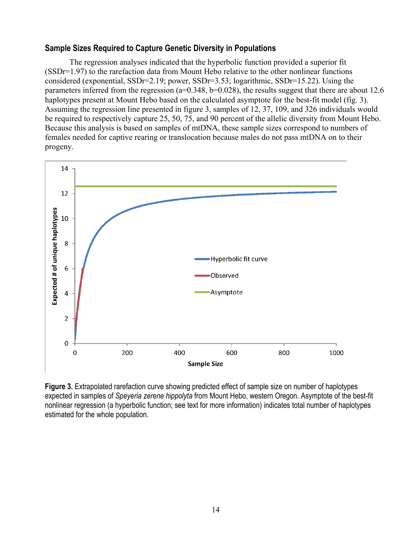#### **Sample Sizes Required to Capture Genetic Diversity in Populations**

The regression analyses indicated that the hyperbolic function provided a superior fit (SSDr=1.97) to the rarefaction data from Mount Hebo relative to the other nonlinear functions considered (exponential, SSDr=2.19; power, SSDr=3.53; logarithmic, SSDr=15.22). Using the parameters inferred from the regression (a=0.348, b=0.028), the results suggest that there are about 12.6 haplotypes present at Mount Hebo based on the calculated asymptote for the best-fit model (fig. 3). Assuming the regression line presented in figure 3, samples of 12, 37, 109, and 326 individuals would be required to respectively capture 25, 50, 75, and 90 percent of the allelic diversity from Mount Hebo. Because this analysis is based on samples of mtDNA, these sample sizes correspond to numbers of females needed for captive rearing or translocation because males do not pass mtDNA on to their progeny.



**Figure 3.** Extrapolated rarefaction curve showing predicted effect of sample size on number of haplotypes expected in samples of *Speyeria zerene hippolyta* from Mount Hebo, western Oregon. Asymptote of the best-fit nonlinear regression (a hyperbolic function; see text for more information) indicates total number of haplotypes estimated for the whole population.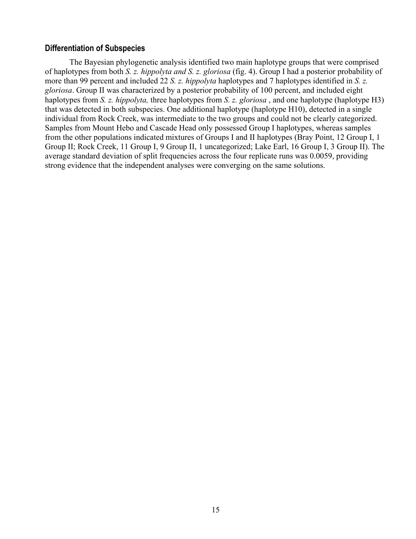#### **Differentiation of Subspecies**

The Bayesian phylogenetic analysis identified two main haplotype groups that were comprised of haplotypes from both *S. z. hippolyta and S. z. gloriosa* (fig. 4). Group I had a posterior probability of more than 99 percent and included 22 *S. z. hippolyta* haplotypes and 7 haplotypes identified in *S. z. gloriosa*. Group II was characterized by a posterior probability of 100 percent, and included eight haplotypes from *S. z. hippolyta,* three haplotypes from *S. z. gloriosa* , and one haplotype (haplotype H3) that was detected in both subspecies. One additional haplotype (haplotype H10), detected in a single individual from Rock Creek, was intermediate to the two groups and could not be clearly categorized. Samples from Mount Hebo and Cascade Head only possessed Group I haplotypes, whereas samples from the other populations indicated mixtures of Groups I and II haplotypes (Bray Point, 12 Group I, 1 Group II; Rock Creek, 11 Group I, 9 Group II, 1 uncategorized; Lake Earl, 16 Group I, 3 Group II). The average standard deviation of split frequencies across the four replicate runs was 0.0059, providing strong evidence that the independent analyses were converging on the same solutions.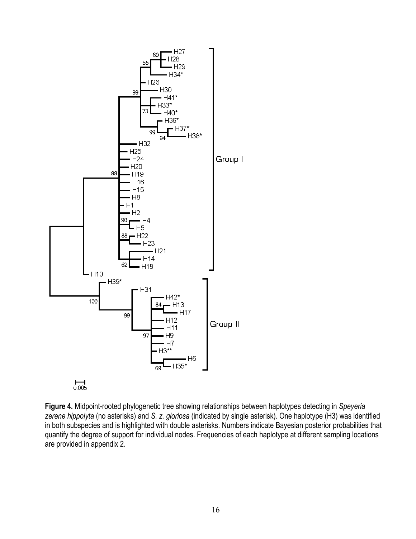

**Figure 4.** Midpoint-rooted phylogenetic tree showing relationships between haplotypes detecting in *Speyeria zerene hippolyta* (no asterisks) and *S. z. gloriosa* (indicated by single asterisk). One haplotype (H3) was identified in both subspecies and is highlighted with double asterisks. Numbers indicate Bayesian posterior probabilities that quantify the degree of support for individual nodes. Frequencies of each haplotype at different sampling locations are provided in appendix 2.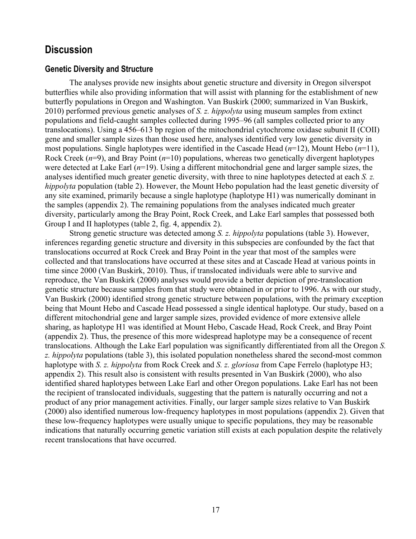### **Discussion**

#### **Genetic Diversity and Structure**

The analyses provide new insights about genetic structure and diversity in Oregon silverspot butterflies while also providing information that will assist with planning for the establishment of new butterfly populations in Oregon and Washington. Van Buskirk (2000; summarized in Van Buskirk, 2010) performed previous genetic analyses of *S. z. hippolyta* using museum samples from extinct populations and field-caught samples collected during 1995–96 (all samples collected prior to any translocations). Using a 456–613 bp region of the mitochondrial cytochrome oxidase subunit II (COII) gene and smaller sample sizes than those used here, analyses identified very low genetic diversity in most populations. Single haplotypes were identified in the Cascade Head (*n*=12), Mount Hebo (*n*=11), Rock Creek (*n*=9), and Bray Point (*n*=10) populations, whereas two genetically divergent haplotypes were detected at Lake Earl (*n*=19). Using a different mitochondrial gene and larger sample sizes, the analyses identified much greater genetic diversity, with three to nine haplotypes detected at each *S. z. hippolyta* population (table 2). However, the Mount Hebo population had the least genetic diversity of any site examined, primarily because a single haplotype (haplotype H1) was numerically dominant in the samples (appendix 2). The remaining populations from the analyses indicated much greater diversity, particularly among the Bray Point, Rock Creek, and Lake Earl samples that possessed both Group I and II haplotypes (table 2, fig. 4, appendix 2).

Strong genetic structure was detected among *S. z. hippolyta* populations (table 3). However, inferences regarding genetic structure and diversity in this subspecies are confounded by the fact that translocations occurred at Rock Creek and Bray Point in the year that most of the samples were collected and that translocations have occurred at these sites and at Cascade Head at various points in time since 2000 (Van Buskirk, 2010). Thus, if translocated individuals were able to survive and reproduce, the Van Buskirk (2000) analyses would provide a better depiction of pre-translocation genetic structure because samples from that study were obtained in or prior to 1996. As with our study, Van Buskirk (2000) identified strong genetic structure between populations, with the primary exception being that Mount Hebo and Cascade Head possessed a single identical haplotype. Our study, based on a different mitochondrial gene and larger sample sizes, provided evidence of more extensive allele sharing, as haplotype H1 was identified at Mount Hebo, Cascade Head, Rock Creek, and Bray Point (appendix 2). Thus, the presence of this more widespread haplotype may be a consequence of recent translocations. Although the Lake Earl population was significantly differentiated from all the Oregon *S. z. hippolyta* populations (table 3), this isolated population nonetheless shared the second-most common haplotype with *S. z. hippolyta* from Rock Creek and *S. z. gloriosa* from Cape Ferrelo (haplotype H3; appendix 2). This result also is consistent with results presented in Van Buskirk (2000), who also identified shared haplotypes between Lake Earl and other Oregon populations. Lake Earl has not been the recipient of translocated individuals, suggesting that the pattern is naturally occurring and not a product of any prior management activities. Finally, our larger sample sizes relative to Van Buskirk (2000) also identified numerous low-frequency haplotypes in most populations (appendix 2). Given that these low-frequency haplotypes were usually unique to specific populations, they may be reasonable indications that naturally occurring genetic variation still exists at each population despite the relatively recent translocations that have occurred.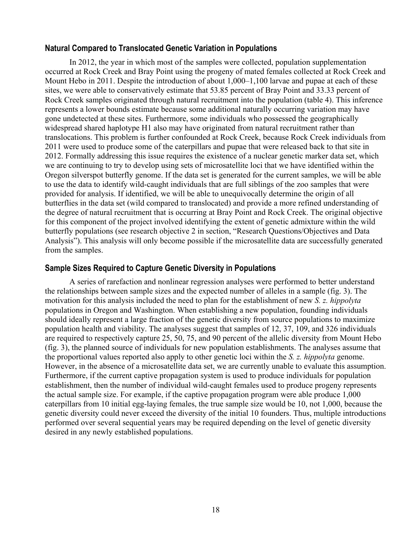#### **Natural Compared to Translocated Genetic Variation in Populations**

In 2012, the year in which most of the samples were collected, population supplementation occurred at Rock Creek and Bray Point using the progeny of mated females collected at Rock Creek and Mount Hebo in 2011. Despite the introduction of about 1,000–1,100 larvae and pupae at each of these sites, we were able to conservatively estimate that 53.85 percent of Bray Point and 33.33 percent of Rock Creek samples originated through natural recruitment into the population (table 4). This inference represents a lower bounds estimate because some additional naturally occurring variation may have gone undetected at these sites. Furthermore, some individuals who possessed the geographically widespread shared haplotype H1 also may have originated from natural recruitment rather than translocations. This problem is further confounded at Rock Creek, because Rock Creek individuals from 2011 were used to produce some of the caterpillars and pupae that were released back to that site in 2012. Formally addressing this issue requires the existence of a nuclear genetic marker data set, which we are continuing to try to develop using sets of microsatellite loci that we have identified within the Oregon silverspot butterfly genome. If the data set is generated for the current samples, we will be able to use the data to identify wild-caught individuals that are full siblings of the zoo samples that were provided for analysis. If identified, we will be able to unequivocally determine the origin of all butterflies in the data set (wild compared to translocated) and provide a more refined understanding of the degree of natural recruitment that is occurring at Bray Point and Rock Creek. The original objective for this component of the project involved identifying the extent of genetic admixture within the wild butterfly populations (see research objective 2 in section, "Research Questions/Objectives and Data Analysis"). This analysis will only become possible if the microsatellite data are successfully generated from the samples.

#### **Sample Sizes Required to Capture Genetic Diversity in Populations**

A series of rarefaction and nonlinear regression analyses were performed to better understand the relationships between sample sizes and the expected number of alleles in a sample (fig. 3). The motivation for this analysis included the need to plan for the establishment of new *S. z. hippolyta* populations in Oregon and Washington. When establishing a new population, founding individuals should ideally represent a large fraction of the genetic diversity from source populations to maximize population health and viability. The analyses suggest that samples of 12, 37, 109, and 326 individuals are required to respectively capture 25, 50, 75, and 90 percent of the allelic diversity from Mount Hebo (fig. 3), the planned source of individuals for new population establishments. The analyses assume that the proportional values reported also apply to other genetic loci within the *S. z. hippolyta* genome. However, in the absence of a microsatellite data set, we are currently unable to evaluate this assumption. Furthermore, if the current captive propagation system is used to produce individuals for population establishment, then the number of individual wild-caught females used to produce progeny represents the actual sample size. For example, if the captive propagation program were able produce 1,000 caterpillars from 10 initial egg-laying females, the true sample size would be 10, not 1,000, because the genetic diversity could never exceed the diversity of the initial 10 founders. Thus, multiple introductions performed over several sequential years may be required depending on the level of genetic diversity desired in any newly established populations.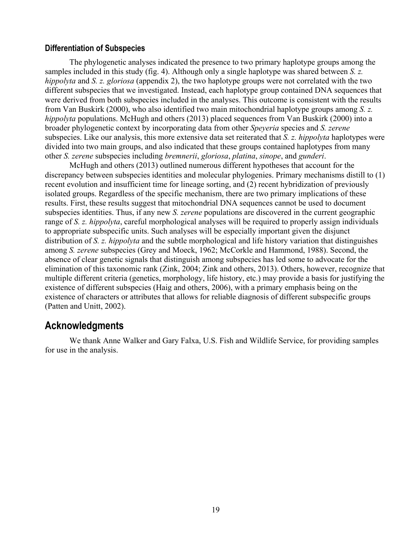#### **Differentiation of Subspecies**

The phylogenetic analyses indicated the presence to two primary haplotype groups among the samples included in this study (fig. 4). Although only a single haplotype was shared between *S. z. hippolyta* and *S. z. gloriosa* (appendix 2), the two haplotype groups were not correlated with the two different subspecies that we investigated. Instead, each haplotype group contained DNA sequences that were derived from both subspecies included in the analyses. This outcome is consistent with the results from Van Buskirk (2000), who also identified two main mitochondrial haplotype groups among *S. z. hippolyta* populations. McHugh and others (2013) placed sequences from Van Buskirk (2000) into a broader phylogenetic context by incorporating data from other *Speyeria* species and *S. zerene*  subspecies. Like our analysis, this more extensive data set reiterated that *S. z. hippolyta* haplotypes were divided into two main groups, and also indicated that these groups contained haplotypes from many other *S. zerene* subspecies including *bremnerii*, *gloriosa*, *platina*, *sinope*, and *gunderi*.

McHugh and others (2013) outlined numerous different hypotheses that account for the discrepancy between subspecies identities and molecular phylogenies. Primary mechanisms distill to (1) recent evolution and insufficient time for lineage sorting, and (2) recent hybridization of previously isolated groups. Regardless of the specific mechanism, there are two primary implications of these results. First, these results suggest that mitochondrial DNA sequences cannot be used to document subspecies identities. Thus, if any new *S. zerene* populations are discovered in the current geographic range of *S. z. hippolyta*, careful morphological analyses will be required to properly assign individuals to appropriate subspecific units. Such analyses will be especially important given the disjunct distribution of *S. z. hippolyta* and the subtle morphological and life history variation that distinguishes among *S. zerene* subspecies (Grey and Moeck, 1962; McCorkle and Hammond, 1988). Second, the absence of clear genetic signals that distinguish among subspecies has led some to advocate for the elimination of this taxonomic rank (Zink, 2004; Zink and others, 2013). Others, however, recognize that multiple different criteria (genetics, morphology, life history, etc.) may provide a basis for justifying the existence of different subspecies (Haig and others, 2006), with a primary emphasis being on the existence of characters or attributes that allows for reliable diagnosis of different subspecific groups (Patten and Unitt, 2002).

### **Acknowledgments**

We thank Anne Walker and Gary Falxa, U.S. Fish and Wildlife Service, for providing samples for use in the analysis.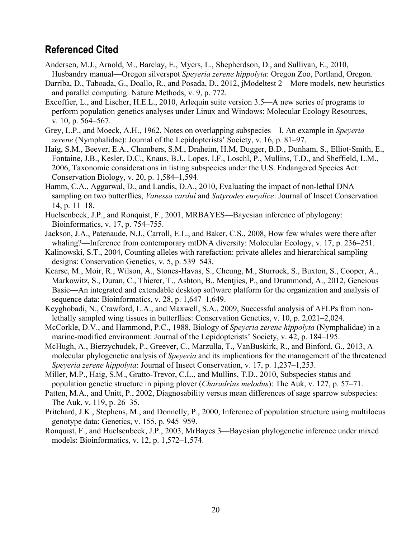### **Referenced Cited**

- Andersen, M.J., Arnold, M., Barclay, E., Myers, L., Shepherdson, D., and Sullivan, E., 2010, Husbandry manual—Oregon silverspot *Speyeria zerene hippolyta*: Oregon Zoo, Portland, Oregon.
- Darriba, D., Taboada, G., Doallo, R., and Posada, D., 2012, jModeltest 2—More models, new heuristics and parallel computing: Nature Methods, v. 9, p. 772.
- Excoffier, L., and Lischer, H.E.L., 2010, Arlequin suite version 3.5—A new series of programs to perform population genetics analyses under Linux and Windows: Molecular Ecology Resources, v. 10, p. 564–567.
- Grey, L.P., and Moeck, A.H., 1962, Notes on overlapping subspecies—I, An example in *Speyeria zerene* (Nymphalidae): Journal of the Lepidopterists' Society, v. 16, p. 81–97.
- Haig, S.M., Beever, E.A., Chambers, S.M., Draheim, H.M, Dugger, B.D., Dunham, S., Elliot-Smith, E., Fontaine, J.B., Kesler, D.C., Knaus, B.J., Lopes, I.F., Loschl, P., Mullins, T.D., and Sheffield, L.M., 2006, Taxonomic considerations in listing subspecies under the U.S. Endangered Species Act: Conservation Biology, v. 20, p. 1,584–1,594.
- Hamm, C.A., Aggarwal, D., and Landis, D.A., 2010, Evaluating the impact of non-lethal DNA sampling on two butterflies, *Vanessa cardui* and *Satyrodes eurydice*: Journal of Insect Conservation 14, p. 11–18.
- Huelsenbeck, J.P., and Ronquist, F., 2001, MRBAYES—Bayesian inference of phylogeny: Bioinformatics, v. 17, p. 754–755.
- Jackson, J.A., Patenaude, N.J., Carroll, E.L., and Baker, C.S., 2008, How few whales were there after whaling?—Inference from contemporary mtDNA diversity: Molecular Ecology, v. 17, p. 236–251.
- Kalinowski, S.T., 2004, Counting alleles with rarefaction: private alleles and hierarchical sampling designs: Conservation Genetics, v. 5, p. 539–543.
- Kearse, M., Moir, R., Wilson, A., Stones-Havas, S., Cheung, M., Sturrock, S., Buxton, S., Cooper, A., Markowitz, S., Duran, C., Thierer, T., Ashton, B., Mentjies, P., and Drummond, A., 2012, Geneious Basic—An integrated and extendable desktop software platform for the organization and analysis of sequence data: Bioinformatics, v. 28, p. 1,647–1,649.
- Keyghobadi, N., Crawford, L.A., and Maxwell, S.A., 2009, Successful analysis of AFLPs from nonlethally sampled wing tissues in butterflies: Conservation Genetics, v. 10, p. 2,021–2,024.
- McCorkle, D.V., and Hammond, P.C., 1988, Biology of *Speyeria zerene hippolyta* (Nymphalidae) in a marine-modified environment: Journal of the Lepidopterists' Society, v. 42, p. 184–195.
- McHugh, A., Bierzychudek, P., Greever, C., Marzulla, T., VanBuskirk, R., and Binford, G., 2013, A molecular phylogenetic analysis of *Speyeria* and its implications for the management of the threatened *Speyeria zerene hippolyta*: Journal of Insect Conservation, v. 17, p. 1,237–1,253.
- Miller, M.P., Haig, S.M., Gratto-Trevor, C.L., and Mullins, T.D., 2010, Subspecies status and population genetic structure in piping plover (*Charadrius melodus*): The Auk, v. 127, p. 57–71.
- Patten, M.A., and Unitt, P., 2002, Diagnosability versus mean differences of sage sparrow subspecies: The Auk, v. 119, p. 26–35.
- Pritchard, J.K., Stephens, M., and Donnelly, P., 2000, Inference of population structure using multilocus genotype data: Genetics, v. 155, p. 945–959.
- Ronquist, F., and Huelsenbeck, J.P., 2003, MrBayes 3—Bayesian phylogenetic inference under mixed models: Bioinformatics, v. 12, p. 1,572–1,574.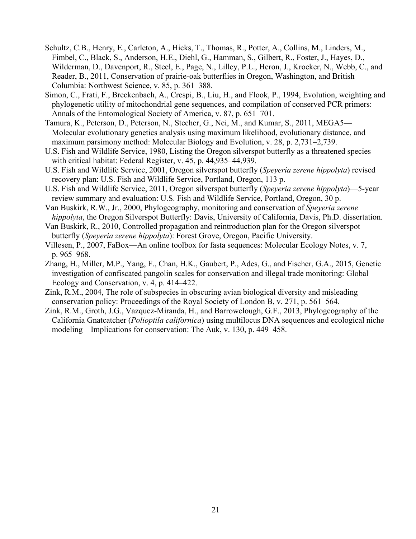- Schultz, C.B., Henry, E., Carleton, A., Hicks, T., Thomas, R., Potter, A., Collins, M., Linders, M., Fimbel, C., Black, S., Anderson, H.E., Diehl, G., Hamman, S., Gilbert, R., Foster, J., Hayes, D., Wilderman, D., Davenport, R., Steel, E., Page, N., Lilley, P.L., Heron, J., Kroeker, N., Webb, C., and Reader, B., 2011, Conservation of prairie-oak butterflies in Oregon, Washington, and British Columbia: Northwest Science, v. 85, p. 361–388.
- Simon, C., Frati, F., Breckenbach, A., Crespi, B., Liu, H., and Flook, P., 1994, Evolution, weighting and phylogenetic utility of mitochondrial gene sequences, and compilation of conserved PCR primers: Annals of the Entomological Society of America, v. 87, p. 651–701.
- Tamura, K., Peterson, D., Peterson, N., Stecher, G., Nei, M., and Kumar, S., 2011, MEGA5— Molecular evolutionary genetics analysis using maximum likelihood, evolutionary distance, and maximum parsimony method: Molecular Biology and Evolution, v. 28, p. 2,731–2,739.
- U.S. Fish and Wildlife Service, 1980, Listing the Oregon silverspot butterfly as a threatened species with critical habitat: Federal Register, v. 45, p. 44,935–44,939.
- U.S. Fish and Wildlife Service, 2001, Oregon silverspot butterfly (*Speyeria zerene hippolyta*) revised recovery plan: U.S. Fish and Wildlife Service, Portland, Oregon, 113 p.
- U.S. Fish and Wildlife Service, 2011, Oregon silverspot butterfly (*Speyeria zerene hippolyta*)—5-year review summary and evaluation: U.S. Fish and Wildlife Service, Portland, Oregon, 30 p.
- Van Buskirk, R.W., Jr., 2000, Phylogeography, monitoring and conservation of *Speyeria zerene hippolyta*, the Oregon Silverspot Butterfly: Davis, University of California, Davis, Ph.D. dissertation.
- Van Buskirk, R., 2010, Controlled propagation and reintroduction plan for the Oregon silverspot butterfly (*Speyeria zerene hippolyta*): Forest Grove, Oregon, Pacific University.
- Villesen, P., 2007, FaBox—An online toolbox for fasta sequences: Molecular Ecology Notes, v. 7, p. 965–968.
- Zhang, H., Miller, M.P., Yang, F., Chan, H.K., Gaubert, P., Ades, G., and Fischer, G.A., 2015, Genetic investigation of confiscated pangolin scales for conservation and illegal trade monitoring: Global Ecology and Conservation, v. 4, p. 414–422.
- Zink, R.M., 2004, The role of subspecies in obscuring avian biological diversity and misleading conservation policy: Proceedings of the Royal Society of London B, v. 271, p. 561–564.
- Zink, R.M., Groth, J.G., Vazquez-Miranda, H., and Barrowclough, G.F., 2013, Phylogeography of the California Gnatcatcher (*Polioptila californica*) using multilocus DNA sequences and ecological niche modeling—Implications for conservation: The Auk, v. 130, p. 449–458.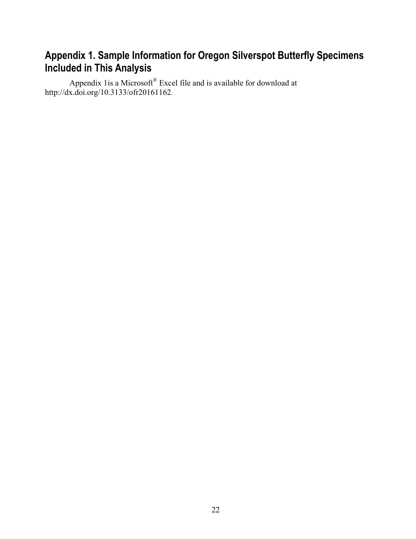## **Appendix 1. Sample Information for Oregon Silverspot Butterfly Specimens Included in This Analysis**

Appendix 1 is a Microsoft® Excel file and is available for download at http://dx.doi.org/10.3133/ofr20161162.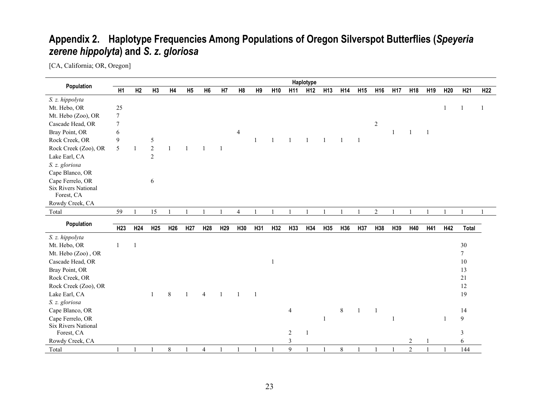# **Appendix 2. Haplotype Frequencies Among Populations of Oregon Silverspot Butterflies (***Speyeria zerene hippolyta***) and** *S. z. gloriosa*

[CA, California; OR, Oregon]

|                            |                 |                 |                 |                 |                 |                 |                 |                |                |                 |                | Haplotype       |                 |       |                 |                 |                 |                 |                 |                 |                 |                 |
|----------------------------|-----------------|-----------------|-----------------|-----------------|-----------------|-----------------|-----------------|----------------|----------------|-----------------|----------------|-----------------|-----------------|-------|-----------------|-----------------|-----------------|-----------------|-----------------|-----------------|-----------------|-----------------|
| Population                 | H1              | H2              | H3              | H4              | H <sub>5</sub>  | H <sub>6</sub>  | H7              | H8             | H <sub>9</sub> | H <sub>10</sub> | H11            | H <sub>12</sub> | H <sub>13</sub> | H14   | H <sub>15</sub> | H <sub>16</sub> | H <sub>17</sub> | H <sub>18</sub> | H <sub>19</sub> | H <sub>20</sub> | H <sub>21</sub> | H <sub>22</sub> |
| S. z. hippolyta            |                 |                 |                 |                 |                 |                 |                 |                |                |                 |                |                 |                 |       |                 |                 |                 |                 |                 |                 |                 |                 |
| Mt. Hebo, OR               | 25              |                 |                 |                 |                 |                 |                 |                |                |                 |                |                 |                 |       |                 |                 |                 |                 |                 | $\mathbf{1}$    |                 | -1              |
| Mt. Hebo (Zoo), OR         | $7\phantom{.0}$ |                 |                 |                 |                 |                 |                 |                |                |                 |                |                 |                 |       |                 |                 |                 |                 |                 |                 |                 |                 |
| Cascade Head, OR           | 7               |                 |                 |                 |                 |                 |                 |                |                |                 |                |                 |                 |       |                 | $\overline{2}$  |                 |                 |                 |                 |                 |                 |
| Bray Point, OR             | 6               |                 |                 |                 |                 |                 |                 | $\overline{4}$ |                |                 |                |                 |                 |       |                 |                 |                 |                 |                 |                 |                 |                 |
| Rock Creek, OR             | $\mathbf{9}$    |                 | 5               |                 |                 |                 |                 |                | $\mathbf{1}$   |                 |                |                 |                 |       | $\mathbf{1}$    |                 |                 |                 |                 |                 |                 |                 |
| Rock Creek (Zoo), OR       | 5               |                 | $\overline{2}$  | $\mathbf{1}$    |                 | $\overline{1}$  | $\overline{1}$  |                |                |                 |                |                 |                 |       |                 |                 |                 |                 |                 |                 |                 |                 |
| Lake Earl, CA              |                 |                 | $\overline{c}$  |                 |                 |                 |                 |                |                |                 |                |                 |                 |       |                 |                 |                 |                 |                 |                 |                 |                 |
| S. z. gloriosa             |                 |                 |                 |                 |                 |                 |                 |                |                |                 |                |                 |                 |       |                 |                 |                 |                 |                 |                 |                 |                 |
| Cape Blanco, OR            |                 |                 |                 |                 |                 |                 |                 |                |                |                 |                |                 |                 |       |                 |                 |                 |                 |                 |                 |                 |                 |
| Cape Ferrelo, OR           |                 |                 | 6               |                 |                 |                 |                 |                |                |                 |                |                 |                 |       |                 |                 |                 |                 |                 |                 |                 |                 |
| <b>Six Rivers National</b> |                 |                 |                 |                 |                 |                 |                 |                |                |                 |                |                 |                 |       |                 |                 |                 |                 |                 |                 |                 |                 |
| Forest, CA                 |                 |                 |                 |                 |                 |                 |                 |                |                |                 |                |                 |                 |       |                 |                 |                 |                 |                 |                 |                 |                 |
| Rowdy Creek, CA            |                 |                 |                 |                 |                 |                 |                 |                |                |                 |                |                 |                 |       |                 |                 |                 |                 |                 |                 |                 |                 |
| Total                      | 59              |                 | 15              |                 |                 | $\mathbf{1}$    |                 | $\overline{4}$ |                |                 |                |                 |                 |       |                 | $\overline{2}$  |                 |                 |                 |                 |                 |                 |
| Population                 |                 |                 |                 |                 |                 |                 |                 |                |                |                 |                |                 |                 |       |                 |                 |                 |                 |                 |                 |                 |                 |
|                            | H <sub>23</sub> | H <sub>24</sub> | H <sub>25</sub> | H <sub>26</sub> | H <sub>27</sub> | H <sub>28</sub> | H <sub>29</sub> | H30            | H31            | H32             | H33            | H34             | H35             | H36   | H37             | H38             | H39             | H40             | H41             | H42             | <b>Total</b>    |                 |
| S. z. hippolyta            |                 |                 |                 |                 |                 |                 |                 |                |                |                 |                |                 |                 |       |                 |                 |                 |                 |                 |                 |                 |                 |
| Mt. Hebo, OR               | $\mathbf{1}$    | $\mathbf{1}$    |                 |                 |                 |                 |                 |                |                |                 |                |                 |                 |       |                 |                 |                 |                 |                 |                 | $30\,$          |                 |
| Mt. Hebo (Zoo), OR         |                 |                 |                 |                 |                 |                 |                 |                |                |                 |                |                 |                 |       |                 |                 |                 |                 |                 |                 | $\tau$          |                 |
| Cascade Head, OR           |                 |                 |                 |                 |                 |                 |                 |                |                | 1               |                |                 |                 |       |                 |                 |                 |                 |                 |                 | 10              |                 |
| Bray Point, OR             |                 |                 |                 |                 |                 |                 |                 |                |                |                 |                |                 |                 |       |                 |                 |                 |                 |                 |                 | 13              |                 |
| Rock Creek, OR             |                 |                 |                 |                 |                 |                 |                 |                |                |                 |                |                 |                 |       |                 |                 |                 |                 |                 |                 | 21              |                 |
| Rock Creek (Zoo), OR       |                 |                 |                 |                 |                 |                 |                 |                |                |                 |                |                 |                 |       |                 |                 |                 |                 |                 |                 | 12              |                 |
| Lake Earl, CA              |                 |                 | $\mathbf{1}$    | 8               |                 | $\overline{4}$  | $\mathbf{1}$    | $\overline{1}$ | $\overline{1}$ |                 |                |                 |                 |       |                 |                 |                 |                 |                 |                 | 19              |                 |
| S. z. gloriosa             |                 |                 |                 |                 |                 |                 |                 |                |                |                 |                |                 |                 |       |                 |                 |                 |                 |                 |                 |                 |                 |
| Cape Blanco, OR            |                 |                 |                 |                 |                 |                 |                 |                |                |                 | $\overline{4}$ |                 |                 | $8\,$ | $\mathbf{1}$    | $\mathbf{1}$    |                 |                 |                 |                 | 14              |                 |
| Cape Ferrelo, OR           |                 |                 |                 |                 |                 |                 |                 |                |                |                 |                |                 | $\mathbf{1}$    |       |                 |                 |                 |                 |                 |                 | 9               |                 |
| <b>Six Rivers National</b> |                 |                 |                 |                 |                 |                 |                 |                |                |                 |                |                 |                 |       |                 |                 |                 |                 |                 |                 |                 |                 |
| Forest, CA                 |                 |                 |                 |                 |                 |                 |                 |                |                |                 | $\overline{c}$ | -1              |                 |       |                 |                 |                 |                 |                 |                 | 3               |                 |
| Rowdy Creek, CA            |                 |                 |                 |                 |                 |                 |                 |                |                |                 | 3              |                 |                 |       |                 |                 |                 | $\overline{2}$  |                 |                 | 6               |                 |
| Total                      | $\mathbf{1}$    | $\mathbf{1}$    |                 | 8               |                 | $\overline{4}$  |                 | $\overline{1}$ |                |                 | 9              | $\overline{1}$  |                 | $8\,$ |                 |                 |                 | $\overline{2}$  |                 |                 | 144             |                 |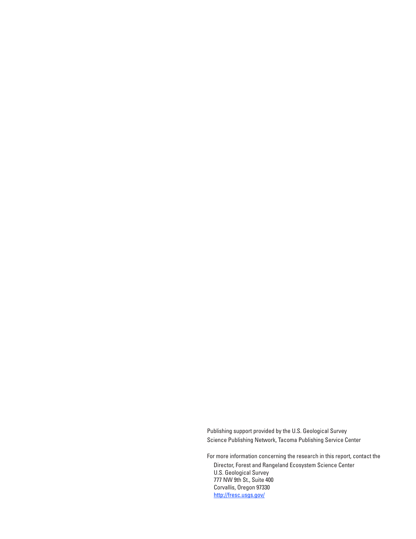Publishing support provided by the U.S. Geological Survey Science Publishing Network, Tacoma Publishing Service Center

For more information concerning the research in this report, contact the Director, Forest and Rangeland Ecosystem Science Center U.S. Geological Survey 777 NW 9th St., Suite 400 Corvallis, Oregon 97330 http://fresc.usgs.gov/